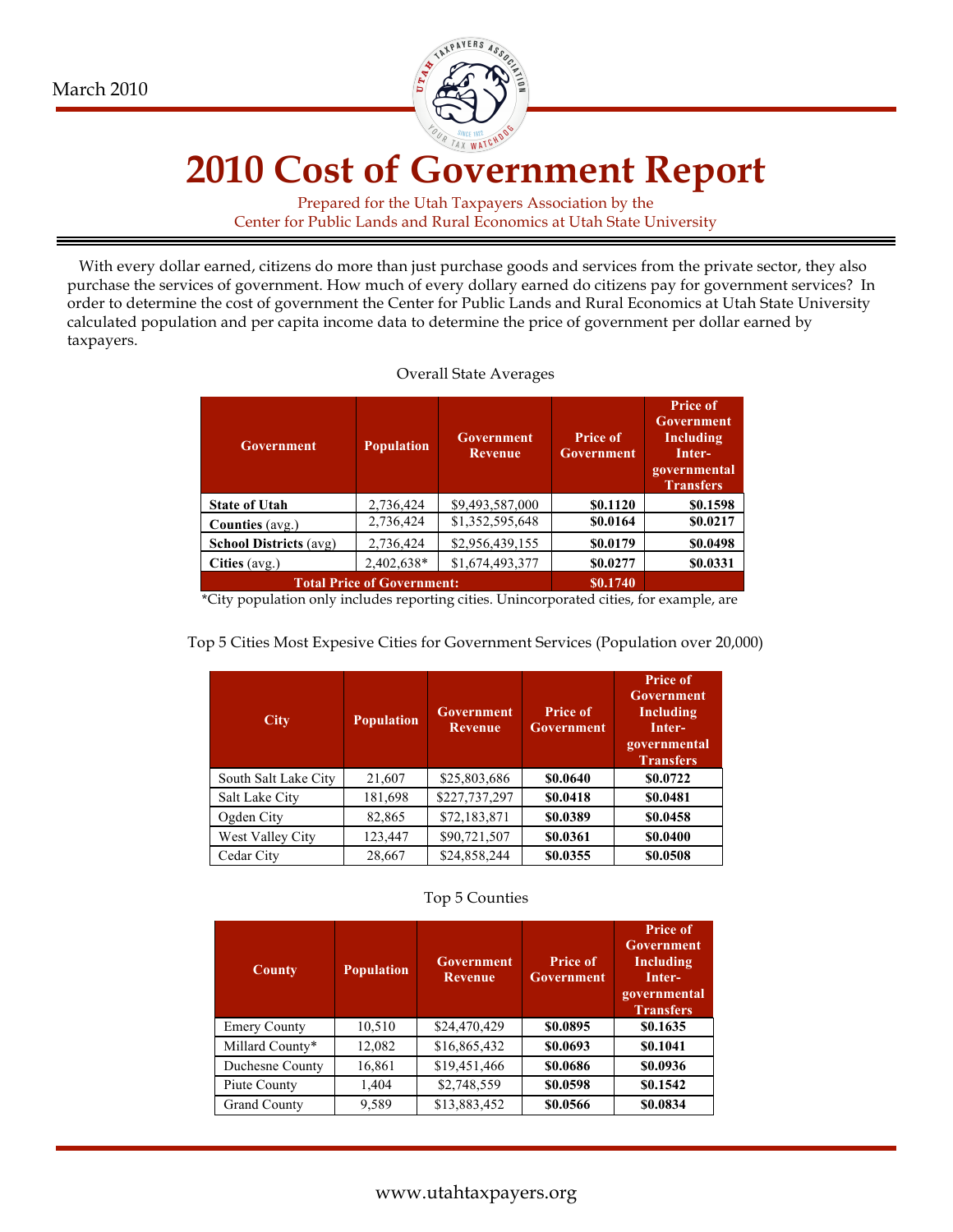

# **2010 Cost of Government Report**

Prepared for the Utah Taxpayers Association by the Center for Public Lands and Rural Economics at Utah State University

With every dollar earned, citizens do more than just purchase goods and services from the private sector, they also purchase the services of government. How much of every dollary earned do citizens pay for government services? In order to determine the cost of government the Center for Public Lands and Rural Economics at Utah State University calculated population and per capita income data to determine the price of government per dollar earned by taxpayers.

| <b>Government</b>                 | <b>Population</b> | Government<br>Revenue | <b>Price of</b><br>Government | <b>Price of</b><br><b>Government</b><br>Including<br>Inter-<br>governmental<br><b>Transfers</b> |
|-----------------------------------|-------------------|-----------------------|-------------------------------|-------------------------------------------------------------------------------------------------|
| <b>State of Utah</b>              | 2,736,424         | \$9,493,587,000       | \$0.1120                      | \$0.1598                                                                                        |
| <b>Counties</b> (avg.)            | 2,736,424         | \$1,352,595,648       | \$0.0164                      | \$0.0217                                                                                        |
| <b>School Districts (avg)</b>     | 2,736,424         | \$2,956,439,155       | \$0.0179                      | \$0.0498                                                                                        |
| Cities (avg.)                     | 2,402,638*        | \$1,674,493,377       | \$0.0277                      | \$0.0331                                                                                        |
| <b>Total Price of Government:</b> |                   |                       | \$0.1740                      |                                                                                                 |

#### Overall State Averages

\*City population only includes reporting cities. Unincorporated cities, for example, are

| <b>City</b>          | <b>Population</b> | <b>Government</b><br><b>Revenue</b> | <b>Price of</b><br><b>Government</b> | <b>Price of</b><br><b>Government</b><br>Including<br>Inter-<br>governmental<br><b>Transfers</b> |
|----------------------|-------------------|-------------------------------------|--------------------------------------|-------------------------------------------------------------------------------------------------|
| South Salt Lake City | 21,607            | \$25,803,686                        | \$0.0640                             | \$0.0722                                                                                        |
| Salt Lake City       | 181,698           | \$227,737,297                       | \$0.0418                             | \$0.0481                                                                                        |
| Ogden City           | 82,865            | \$72,183,871                        | \$0.0389                             | \$0.0458                                                                                        |
| West Valley City     | 123,447           | \$90,721,507                        | \$0.0361                             | \$0.0400                                                                                        |
| Cedar City           | 28,667            | \$24,858,244                        | \$0.0355                             | \$0.0508                                                                                        |

Top 5 Cities Most Expesive Cities for Government Services (Population over 20,000)

#### Top 5 Counties

| County              | <b>Population</b> | Government<br><b>Revenue</b> | <b>Price of</b><br><b>Government</b> | <b>Price of</b><br><b>Government</b><br>Including<br>Inter-<br>governmental<br><b>Transfers</b> |
|---------------------|-------------------|------------------------------|--------------------------------------|-------------------------------------------------------------------------------------------------|
| <b>Emery County</b> | 10,510            | \$24,470,429                 | \$0.0895                             | \$0.1635                                                                                        |
| Millard County*     | 12,082            | \$16,865,432                 | \$0.0693                             | \$0.1041                                                                                        |
| Duchesne County     | 16,861            | \$19,451,466                 | \$0.0686                             | \$0.0936                                                                                        |
| Piute County        | 1,404             | \$2,748,559                  | \$0.0598                             | \$0.1542                                                                                        |
| <b>Grand County</b> | 9,589             | \$13,883,452                 | \$0.0566                             | \$0.0834                                                                                        |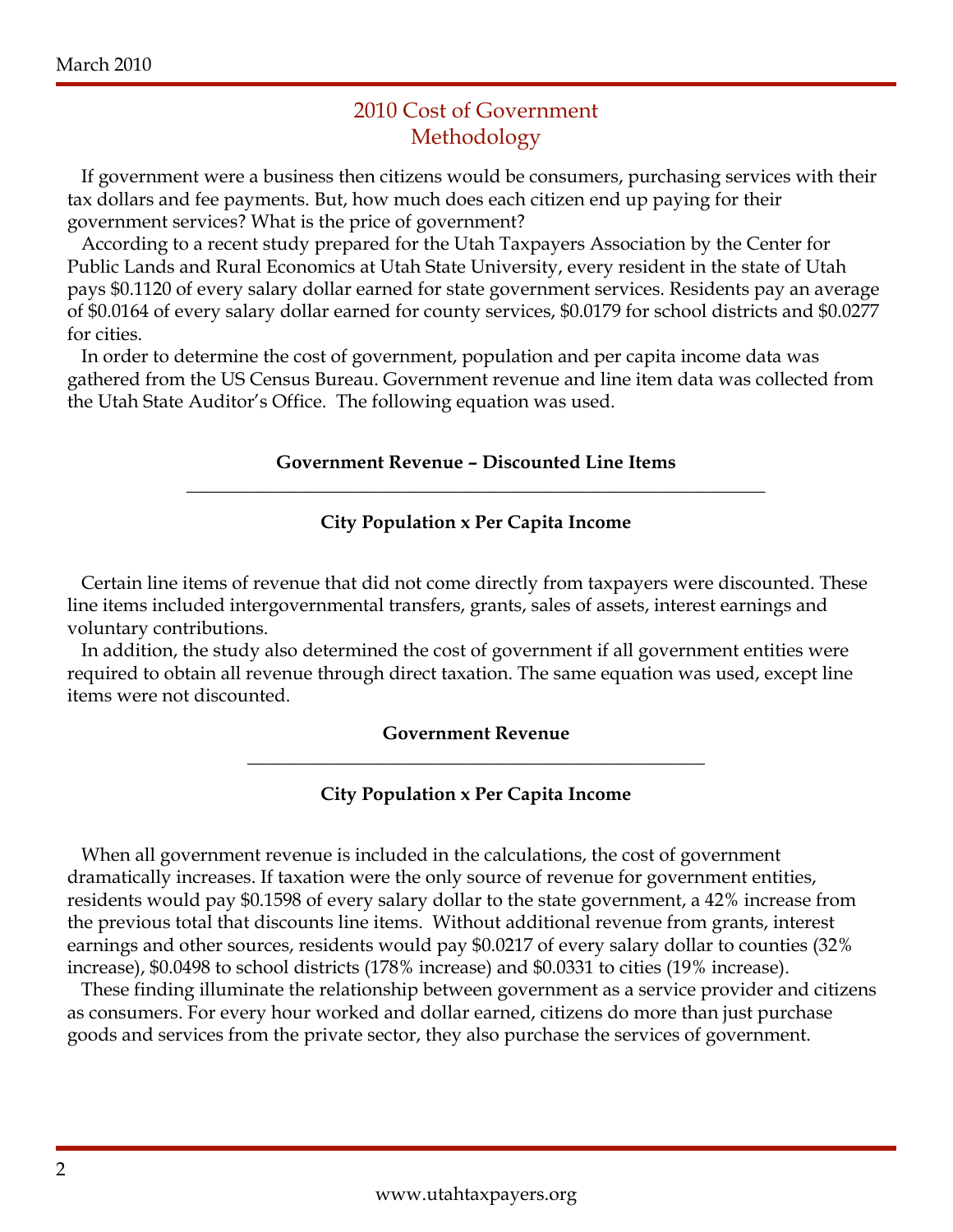## 2010 Cost of Government Methodology

 If government were a business then citizens would be consumers, purchasing services with their tax dollars and fee payments. But, how much does each citizen end up paying for their government services? What is the price of government?

 According to a recent study prepared for the Utah Taxpayers Association by the Center for Public Lands and Rural Economics at Utah State University, every resident in the state of Utah pays \$0.1120 of every salary dollar earned for state government services. Residents pay an average of \$0.0164 of every salary dollar earned for county services, \$0.0179 for school districts and \$0.0277 for cities.

 In order to determine the cost of government, population and per capita income data was gathered from the US Census Bureau. Government revenue and line item data was collected from the Utah State Auditor's Office. The following equation was used.

#### **Government Revenue – Discounted Line Items \_\_\_\_\_\_\_\_\_\_\_\_\_\_\_\_\_\_\_\_\_\_\_\_\_\_\_\_\_\_\_\_\_\_\_\_\_\_\_\_\_\_\_\_\_\_\_\_\_\_\_\_\_\_\_\_\_\_\_\_\_\_**

## **City Population x Per Capita Income**

Certain line items of revenue that did not come directly from taxpayers were discounted. These line items included intergovernmental transfers, grants, sales of assets, interest earnings and voluntary contributions.

 In addition, the study also determined the cost of government if all government entities were required to obtain all revenue through direct taxation. The same equation was used, except line items were not discounted.

### **Government Revenue \_\_\_\_\_\_\_\_\_\_\_\_\_\_\_\_\_\_\_\_\_\_\_\_\_\_\_\_\_\_\_\_\_\_\_\_\_\_\_\_\_\_\_\_\_\_\_\_\_**

**City Population x Per Capita Income**

 When all government revenue is included in the calculations, the cost of government dramatically increases. If taxation were the only source of revenue for government entities, residents would pay \$0.1598 of every salary dollar to the state government, a 42% increase from the previous total that discounts line items. Without additional revenue from grants, interest earnings and other sources, residents would pay \$0.0217 of every salary dollar to counties (32% increase), \$0.0498 to school districts (178% increase) and \$0.0331 to cities (19% increase).

 These finding illuminate the relationship between government as a service provider and citizens as consumers. For every hour worked and dollar earned, citizens do more than just purchase goods and services from the private sector, they also purchase the services of government.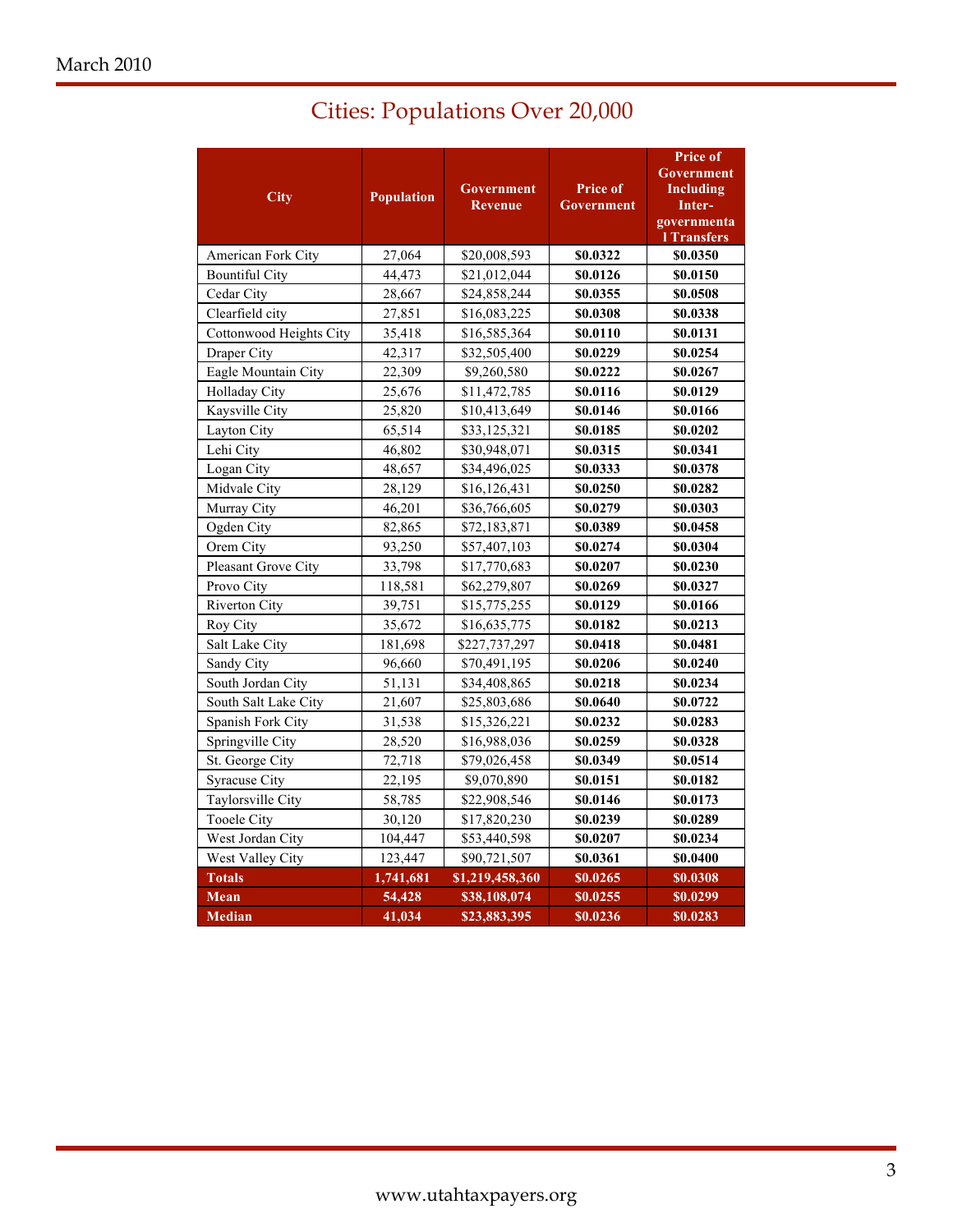| <b>City</b>             | <b>Population</b> | Government<br><b>Revenue</b> | <b>Price of</b><br>Government | <b>Price of</b><br>Government<br><b>Including</b><br>Inter-<br>governmenta<br><b>l</b> Transfers |
|-------------------------|-------------------|------------------------------|-------------------------------|--------------------------------------------------------------------------------------------------|
| American Fork City      | 27,064            | \$20,008,593                 | \$0.0322                      | \$0.0350                                                                                         |
| <b>Bountiful City</b>   | 44.473            | \$21,012,044                 | \$0.0126                      | \$0.0150                                                                                         |
| Cedar City              | 28,667            | \$24,858,244                 | \$0.0355                      | \$0.0508                                                                                         |
| Clearfield city         | 27,851            | \$16,083,225                 | \$0.0308                      | \$0.0338                                                                                         |
| Cottonwood Heights City | 35,418            | \$16,585,364                 | \$0.0110                      | \$0.0131                                                                                         |
| Draper City             | 42,317            | \$32,505,400                 | \$0.0229                      | \$0.0254                                                                                         |
| Eagle Mountain City     | 22,309            | \$9,260,580                  | \$0.0222                      | \$0.0267                                                                                         |
| Holladay City           | 25,676            | \$11,472,785                 | \$0.0116                      | \$0.0129                                                                                         |
| Kaysville City          | 25,820            | \$10,413,649                 | \$0.0146                      | \$0.0166                                                                                         |
| Layton City             | 65,514            | \$33,125,321                 | \$0.0185                      | \$0.0202                                                                                         |
| Lehi City               | 46,802            | \$30,948,071                 | \$0.0315                      | \$0.0341                                                                                         |
| Logan City              | 48,657            | \$34,496,025                 | \$0.0333                      | \$0.0378                                                                                         |
| Midvale City            | 28,129            | \$16,126,431                 | \$0.0250                      | \$0.0282                                                                                         |
| Murray City             | 46,201            | \$36,766,605                 | \$0.0279                      | \$0.0303                                                                                         |
| Ogden City              | 82,865            | \$72,183,871                 | \$0.0389                      | \$0.0458                                                                                         |
| Orem City               | 93,250            | \$57,407,103                 | \$0.0274                      | \$0.0304                                                                                         |
| Pleasant Grove City     | 33,798            | \$17,770,683                 | \$0.0207                      | \$0.0230                                                                                         |
| Provo City              | 118,581           | \$62,279,807                 | \$0.0269                      | \$0.0327                                                                                         |
| Riverton City           | 39,751            | \$15,775,255                 | \$0.0129                      | \$0.0166                                                                                         |
| Roy City                | 35,672            | \$16,635,775                 | \$0.0182                      | \$0.0213                                                                                         |
| Salt Lake City          | 181,698           | \$227,737,297                | \$0.0418                      | \$0.0481                                                                                         |
| Sandy City              | 96,660            | \$70,491,195                 | \$0.0206                      | \$0.0240                                                                                         |
| South Jordan City       | 51,131            | \$34,408,865                 | \$0.0218                      | \$0.0234                                                                                         |
| South Salt Lake City    | 21,607            | \$25,803,686                 | \$0.0640                      | \$0.0722                                                                                         |
| Spanish Fork City       | 31,538            | \$15,326,221                 | \$0.0232                      | \$0.0283                                                                                         |
| Springville City        | 28,520            | \$16,988,036                 | \$0.0259                      | \$0.0328                                                                                         |
| St. George City         | 72,718            | \$79,026,458                 | \$0.0349                      | \$0.0514                                                                                         |
| <b>Syracuse City</b>    | 22,195            | \$9,070,890                  | \$0.0151                      | \$0.0182                                                                                         |
| Taylorsville City       | 58,785            | \$22,908,546                 | \$0.0146                      | \$0.0173                                                                                         |
| <b>Tooele City</b>      | 30,120            | \$17,820,230                 | \$0.0239                      | \$0.0289                                                                                         |
| West Jordan City        | 104,447           | \$53,440,598                 | \$0.0207                      | \$0.0234                                                                                         |
| West Valley City        | 123,447           | \$90,721,507                 | \$0.0361                      | \$0.0400                                                                                         |
| <b>Totals</b>           | 1,741,681         | \$1,219,458,360              | \$0.0265                      | \$0.0308                                                                                         |
| <b>Mean</b>             | 54,428            | \$38,108,074                 | \$0.0255                      | \$0.0299                                                                                         |
| <b>Median</b>           | 41,034            | \$23,883,395                 | \$0.0236                      | \$0.0283                                                                                         |

# Cities: Populations Over 20,000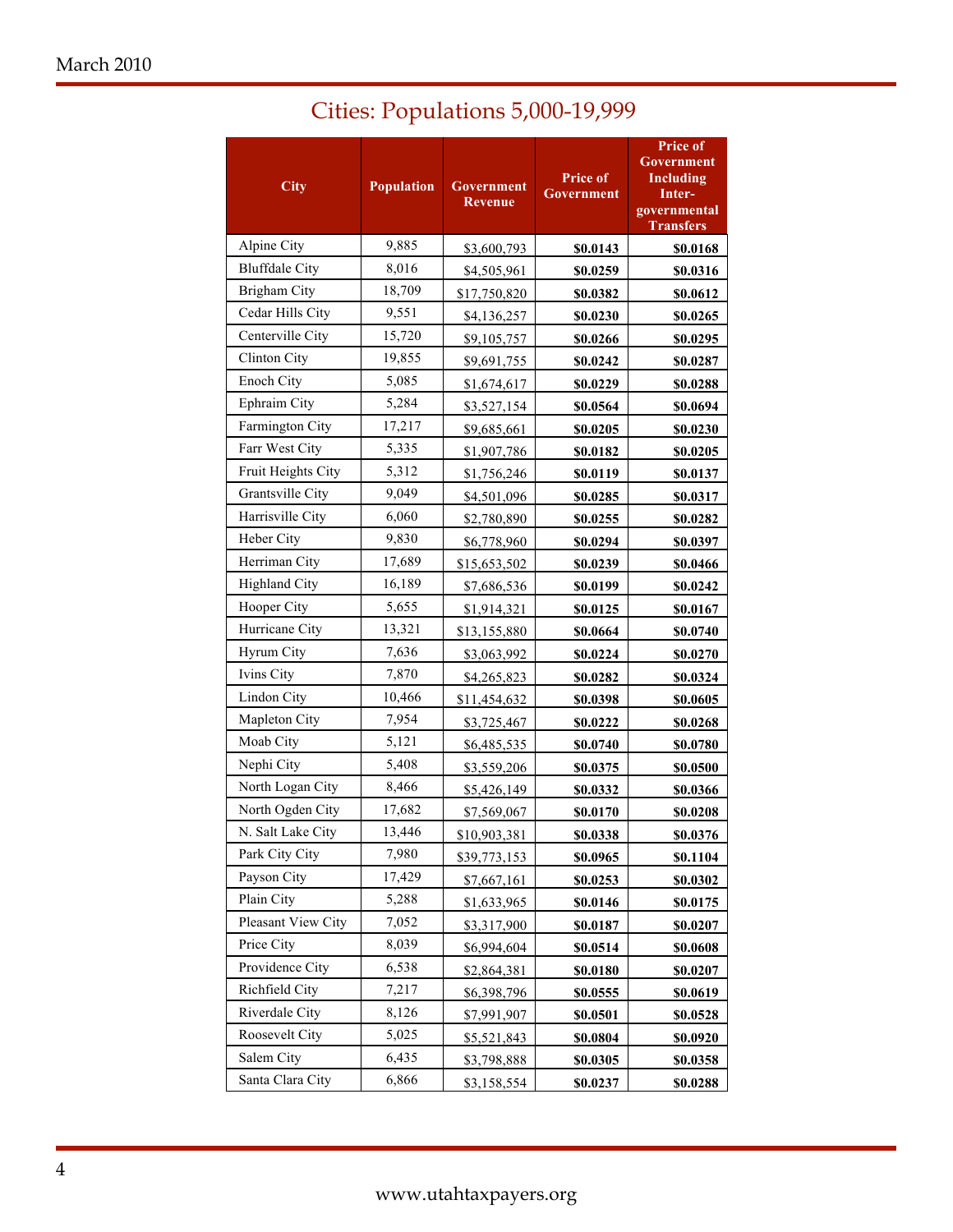| <b>City</b>           | <b>Population</b> | <b>Government</b><br>Revenue | Price of<br>Government | Price of<br><b>Government</b><br><b>Including</b><br>Inter-<br>governmental<br><b>Transfers</b> |
|-----------------------|-------------------|------------------------------|------------------------|-------------------------------------------------------------------------------------------------|
| Alpine City           | 9,885             | \$3,600,793                  | \$0.0143               | \$0.0168                                                                                        |
| <b>Bluffdale City</b> | 8,016             | \$4,505,961                  | \$0.0259               | \$0.0316                                                                                        |
| <b>Brigham City</b>   | 18,709            | \$17,750,820                 | \$0.0382               | \$0.0612                                                                                        |
| Cedar Hills City      | 9,551             | \$4,136,257                  | \$0.0230               | \$0.0265                                                                                        |
| Centerville City      | 15,720            | \$9,105,757                  | \$0.0266               | \$0.0295                                                                                        |
| Clinton City          | 19,855            | \$9,691,755                  | \$0.0242               | \$0.0287                                                                                        |
| Enoch City            | 5,085             | \$1,674,617                  | \$0.0229               | \$0.0288                                                                                        |
| Ephraim City          | 5,284             | \$3,527,154                  | \$0.0564               | \$0.0694                                                                                        |
| Farmington City       | 17,217            | \$9,685,661                  | \$0.0205               | \$0.0230                                                                                        |
| Farr West City        | 5,335             | \$1,907,786                  | \$0.0182               | \$0.0205                                                                                        |
| Fruit Heights City    | 5,312             | \$1,756,246                  | \$0.0119               | \$0.0137                                                                                        |
| Grantsville City      | 9,049             | \$4,501,096                  | \$0.0285               | \$0.0317                                                                                        |
| Harrisville City      | 6,060             | \$2,780,890                  | \$0.0255               | \$0.0282                                                                                        |
| Heber City            | 9,830             | \$6,778,960                  | \$0.0294               | \$0.0397                                                                                        |
| Herriman City         | 17,689            | \$15,653,502                 | \$0.0239               | \$0.0466                                                                                        |
| Highland City         | 16,189            | \$7,686,536                  | \$0.0199               | \$0.0242                                                                                        |
| Hooper City           | 5,655             | \$1,914,321                  | \$0.0125               | \$0.0167                                                                                        |
| Hurricane City        | 13,321            | \$13,155,880                 | \$0.0664               | \$0.0740                                                                                        |
| Hyrum City            | 7,636             | \$3,063,992                  | \$0.0224               | \$0.0270                                                                                        |
| Ivins City            | 7,870             | \$4,265,823                  | \$0.0282               | \$0.0324                                                                                        |
| Lindon City           | 10,466            | \$11,454,632                 | \$0.0398               | \$0.0605                                                                                        |
| Mapleton City         | 7,954             | \$3,725,467                  | \$0.0222               | \$0.0268                                                                                        |
| Moab City             | 5,121             | \$6,485,535                  | \$0.0740               | \$0.0780                                                                                        |
| Nephi City            | 5,408             | \$3,559,206                  | \$0.0375               | \$0.0500                                                                                        |
| North Logan City      | 8,466             | \$5,426,149                  | \$0.0332               | \$0.0366                                                                                        |
| North Ogden City      | 17,682            | \$7,569,067                  | \$0.0170               | \$0.0208                                                                                        |
| N. Salt Lake City     | 13,446            | \$10,903,381                 | \$0.0338               | \$0.0376                                                                                        |
| Park City City        | 7,980             | \$39,773,153                 | \$0.0965               | \$0.1104                                                                                        |
| Payson City           | 17,429            | \$7,667,161                  | \$0.0253               | \$0.0302                                                                                        |
| Plain City            | 5,288             | \$1,633,965                  | \$0.0146               | \$0.0175                                                                                        |
| Pleasant View City    | 7,052             | \$3,317,900                  | \$0.0187               | \$0.0207                                                                                        |
| Price City            | 8,039             | \$6,994,604                  | \$0.0514               | \$0.0608                                                                                        |
| Providence City       | 6,538             | \$2,864,381                  | \$0.0180               | \$0.0207                                                                                        |
| Richfield City        | 7,217             | \$6,398,796                  | \$0.0555               | \$0.0619                                                                                        |
| Riverdale City        | 8,126             | \$7,991,907                  | \$0.0501               | \$0.0528                                                                                        |
| Roosevelt City        | 5,025             | \$5,521,843                  | \$0.0804               | \$0.0920                                                                                        |
| Salem City            | 6,435             | \$3,798,888                  | \$0.0305               | \$0.0358                                                                                        |
| Santa Clara City      | 6,866             | \$3,158,554                  | \$0.0237               | \$0.0288                                                                                        |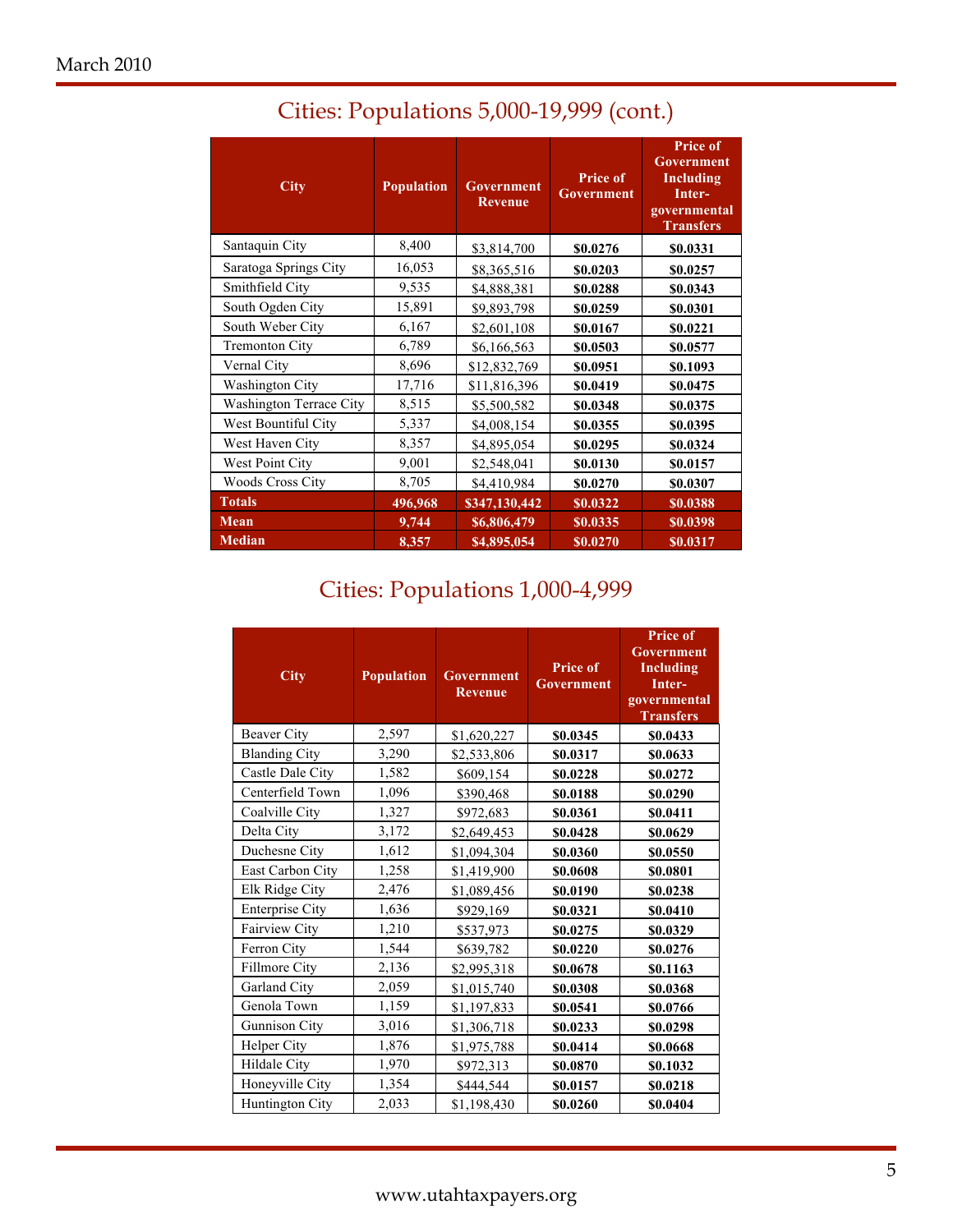| <b>City</b>                    | <b>Population</b><br><b>Government</b> |               | <b>Price of</b><br>Government | <b>Price of</b><br>Government<br>Including<br>Inter-<br>governmental<br><b>Transfers</b> |  |
|--------------------------------|----------------------------------------|---------------|-------------------------------|------------------------------------------------------------------------------------------|--|
| Santaquin City                 | 8,400                                  | \$3,814,700   | \$0.0276                      | \$0.0331                                                                                 |  |
| Saratoga Springs City          | 16,053                                 | \$8,365,516   | \$0.0203                      | \$0.0257                                                                                 |  |
| Smithfield City                | 9,535                                  | \$4,888,381   | \$0.0288                      | \$0.0343                                                                                 |  |
| South Ogden City               | 15,891                                 | \$9,893,798   | \$0.0259                      | \$0.0301                                                                                 |  |
| South Weber City               | 6,167                                  | \$2,601,108   | \$0.0167                      | \$0.0221                                                                                 |  |
| <b>Tremonton City</b>          | 6,789                                  | \$6,166,563   | \$0.0503                      | \$0.0577                                                                                 |  |
| Vernal City                    | 8,696                                  | \$12,832,769  | \$0.0951                      | \$0.1093                                                                                 |  |
| <b>Washington City</b>         | 17,716                                 | \$11,816,396  | \$0.0419                      | \$0.0475                                                                                 |  |
| <b>Washington Terrace City</b> | 8,515                                  | \$5,500,582   | \$0.0348                      | \$0.0375                                                                                 |  |
| West Bountiful City            | 5,337                                  | \$4,008,154   | \$0.0355                      | \$0.0395                                                                                 |  |
| West Haven City                | 8,357                                  | \$4,895,054   | \$0.0295                      | \$0.0324                                                                                 |  |
| West Point City                | 9,001                                  | \$2,548,041   | \$0.0130                      | \$0.0157                                                                                 |  |
| <b>Woods Cross City</b>        | 8,705                                  | \$4,410,984   | \$0.0270                      | \$0.0307                                                                                 |  |
| <b>Totals</b>                  | 496,968                                | \$347,130,442 | \$0.0322                      | \$0.0388                                                                                 |  |
| Mean                           | 9,744                                  | \$6,806,479   | \$0.0335                      | \$0.0398                                                                                 |  |
| <b>Median</b>                  | 8,357                                  | \$4,895,054   | \$0.0270                      | \$0.0317                                                                                 |  |

# Cities: Populations 5,000-19,999 (cont.)

# Cities: Populations 1,000-4,999

| <b>City</b>            | <b>Population</b> | <b>Government</b><br><b>Revenue</b> | <b>Price of</b><br><b>Government</b> | <b>Price of</b><br><b>Government</b><br>Including<br>Inter-<br>governmental<br><b>Transfers</b> |
|------------------------|-------------------|-------------------------------------|--------------------------------------|-------------------------------------------------------------------------------------------------|
| <b>Beaver City</b>     | 2,597             | \$1,620,227                         | \$0.0345                             | \$0.0433                                                                                        |
| <b>Blanding City</b>   | 3,290             | \$2,533,806                         | \$0.0317                             | \$0.0633                                                                                        |
| Castle Dale City       | 1,582             | \$609,154                           | \$0.0228                             | \$0.0272                                                                                        |
| Centerfield Town       | 1,096             | \$390,468                           | \$0.0188                             | \$0.0290                                                                                        |
| Coalville City         | 1,327             | \$972,683                           | \$0.0361                             | \$0.0411                                                                                        |
| Delta City             | 3,172             | \$2,649,453                         | \$0.0428                             | \$0.0629                                                                                        |
| Duchesne City          | 1,612             | \$1,094,304                         | \$0.0360                             | \$0.0550                                                                                        |
| East Carbon City       | 1,258             | \$1,419,900                         | \$0.0608                             | \$0.0801                                                                                        |
| Elk Ridge City         | 2,476             | \$1,089,456                         | \$0.0190                             | \$0.0238                                                                                        |
| <b>Enterprise City</b> | 1,636             | \$929,169                           | \$0.0321                             | \$0.0410                                                                                        |
| Fairview City          | 1,210             | \$537,973                           | \$0.0275                             | \$0.0329                                                                                        |
| Ferron City            | 1,544             | \$639,782                           | \$0.0220                             | \$0.0276                                                                                        |
| Fillmore City          | 2,136             | \$2,995,318                         | \$0.0678                             | \$0.1163                                                                                        |
| Garland City           | 2,059             | \$1,015,740                         | \$0.0308                             | \$0.0368                                                                                        |
| Genola Town            | 1,159             | \$1,197,833                         | \$0.0541                             | \$0.0766                                                                                        |
| <b>Gunnison City</b>   | 3,016             | \$1,306,718                         | \$0.0233                             | \$0.0298                                                                                        |
| Helper City            | 1,876             | \$1,975,788                         | \$0.0414                             | \$0.0668                                                                                        |
| Hildale City           | 1,970             | \$972,313                           | \$0.0870                             | \$0.1032                                                                                        |
| Honeyville City        | 1,354             | \$444,544                           | \$0.0157                             | \$0.0218                                                                                        |
| Huntington City        | 2,033             | \$1,198,430                         | \$0.0260                             | \$0.0404                                                                                        |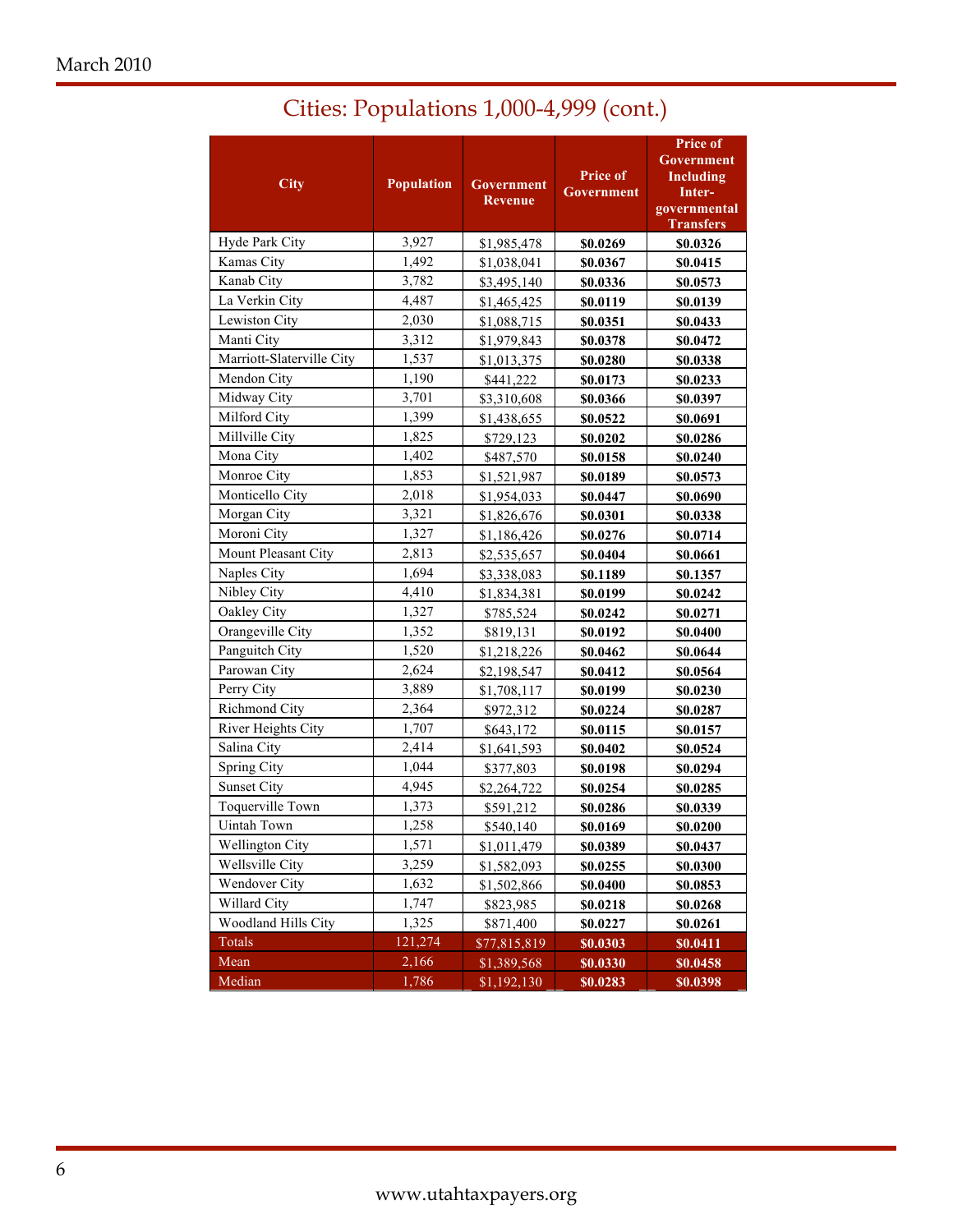| <b>City</b>               | <b>Population</b> | <b>Price of</b><br>Government<br><b>Government</b><br><b>Revenue</b> |          | <b>Price of</b><br>Government<br><b>Including</b><br>Inter-<br>governmental<br><b>Transfers</b> |  |
|---------------------------|-------------------|----------------------------------------------------------------------|----------|-------------------------------------------------------------------------------------------------|--|
| Hyde Park City            | 3,927             | \$1,985,478                                                          | \$0.0269 | \$0.0326                                                                                        |  |
| Kamas City                | 1,492             | \$1,038,041                                                          | \$0.0367 | \$0.0415                                                                                        |  |
| Kanab City                | 3,782             | \$3,495,140                                                          | \$0.0336 | \$0.0573                                                                                        |  |
| La Verkin City            | 4,487             | \$1,465,425                                                          | \$0.0119 | \$0.0139                                                                                        |  |
| Lewiston City             | 2,030             | \$1,088,715                                                          | \$0.0351 | \$0.0433                                                                                        |  |
| Manti City                | 3,312             | \$1,979,843                                                          | \$0.0378 | \$0.0472                                                                                        |  |
| Marriott-Slaterville City | 1,537             | \$1,013,375                                                          | \$0.0280 | \$0.0338                                                                                        |  |
| Mendon City               | 1,190             | \$441,222                                                            | \$0.0173 | \$0.0233                                                                                        |  |
| Midway City               | 3,701             | \$3,310,608                                                          | \$0.0366 | \$0.0397                                                                                        |  |
| Milford City              | 1,399             | \$1,438,655                                                          | \$0.0522 | \$0.0691                                                                                        |  |
| Millville City            | 1,825             | \$729,123                                                            | \$0.0202 | \$0.0286                                                                                        |  |
| Mona City                 | 1,402             | \$487,570                                                            | \$0.0158 | \$0.0240                                                                                        |  |
| Monroe City               | 1,853             | \$1,521,987                                                          | \$0.0189 | \$0.0573                                                                                        |  |
| Monticello City           | 2,018             | \$1,954,033                                                          | \$0.0447 | \$0.0690                                                                                        |  |
| Morgan City               | 3,321             | \$1,826,676                                                          | \$0.0301 | \$0.0338                                                                                        |  |
| Moroni City               | 1,327             | \$1,186,426                                                          | \$0.0276 | \$0.0714                                                                                        |  |
| Mount Pleasant City       | 2,813             | \$2,535,657                                                          | \$0.0404 | \$0.0661                                                                                        |  |
| Naples City               | 1,694             | \$3,338,083                                                          | \$0.1189 | \$0.1357                                                                                        |  |
| Nibley City               | 4,410             | \$1,834,381                                                          | \$0.0199 | \$0.0242                                                                                        |  |
| Oakley City               | 1,327             | \$785,524                                                            | \$0.0242 | \$0.0271                                                                                        |  |
| Orangeville City          | 1,352             | \$819,131                                                            | \$0.0192 | \$0.0400                                                                                        |  |
| Panguitch City            | 1,520             | \$1,218,226                                                          | \$0.0462 | \$0.0644                                                                                        |  |
| Parowan City              | 2,624             | \$2,198,547                                                          | \$0.0412 | \$0.0564                                                                                        |  |
| Perry City                | 3,889             | \$1,708,117                                                          | \$0.0199 | \$0.0230                                                                                        |  |
| Richmond City             | 2,364             | \$972,312                                                            | \$0.0224 | \$0.0287                                                                                        |  |
| River Heights City        | 1,707             | \$643,172                                                            | \$0.0115 | \$0.0157                                                                                        |  |
| Salina City               | 2,414             | \$1,641,593                                                          | \$0.0402 | \$0.0524                                                                                        |  |
| Spring City               | 1,044             | \$377,803                                                            | \$0.0198 | \$0.0294                                                                                        |  |
| <b>Sunset City</b>        | 4,945             | \$2,264,722                                                          | \$0.0254 | \$0.0285                                                                                        |  |
| Toquerville Town          | 1,373             | \$591,212                                                            | \$0.0286 | \$0.0339                                                                                        |  |
| Uintah Town               | 1,258             | \$540,140                                                            | \$0.0169 | \$0.0200                                                                                        |  |
| <b>Wellington City</b>    | 1,571             | \$1,011,479                                                          | \$0.0389 | <b>\$0.0437</b>                                                                                 |  |
| Wellsville City           | 3,259             | \$1,582,093                                                          | \$0.0255 | \$0.0300                                                                                        |  |
| Wendover City             | 1,632             | \$1,502,866                                                          | \$0.0400 | \$0.0853                                                                                        |  |
| Willard City              | 1,747             | \$823,985                                                            | \$0.0218 | \$0.0268                                                                                        |  |
| Woodland Hills City       | 1,325             | \$871,400                                                            | \$0.0227 | \$0.0261                                                                                        |  |
| <b>Totals</b>             | 121,274           | \$77,815,819                                                         | \$0.0303 | \$0.0411                                                                                        |  |
| Mean                      | 2,166             | \$1,389,568                                                          | \$0.0330 | \$0.0458                                                                                        |  |
| Median                    | 1,786             | \$1,192,130                                                          | \$0.0283 | \$0.0398                                                                                        |  |

# Cities: Populations 1,000-4,999 (cont.)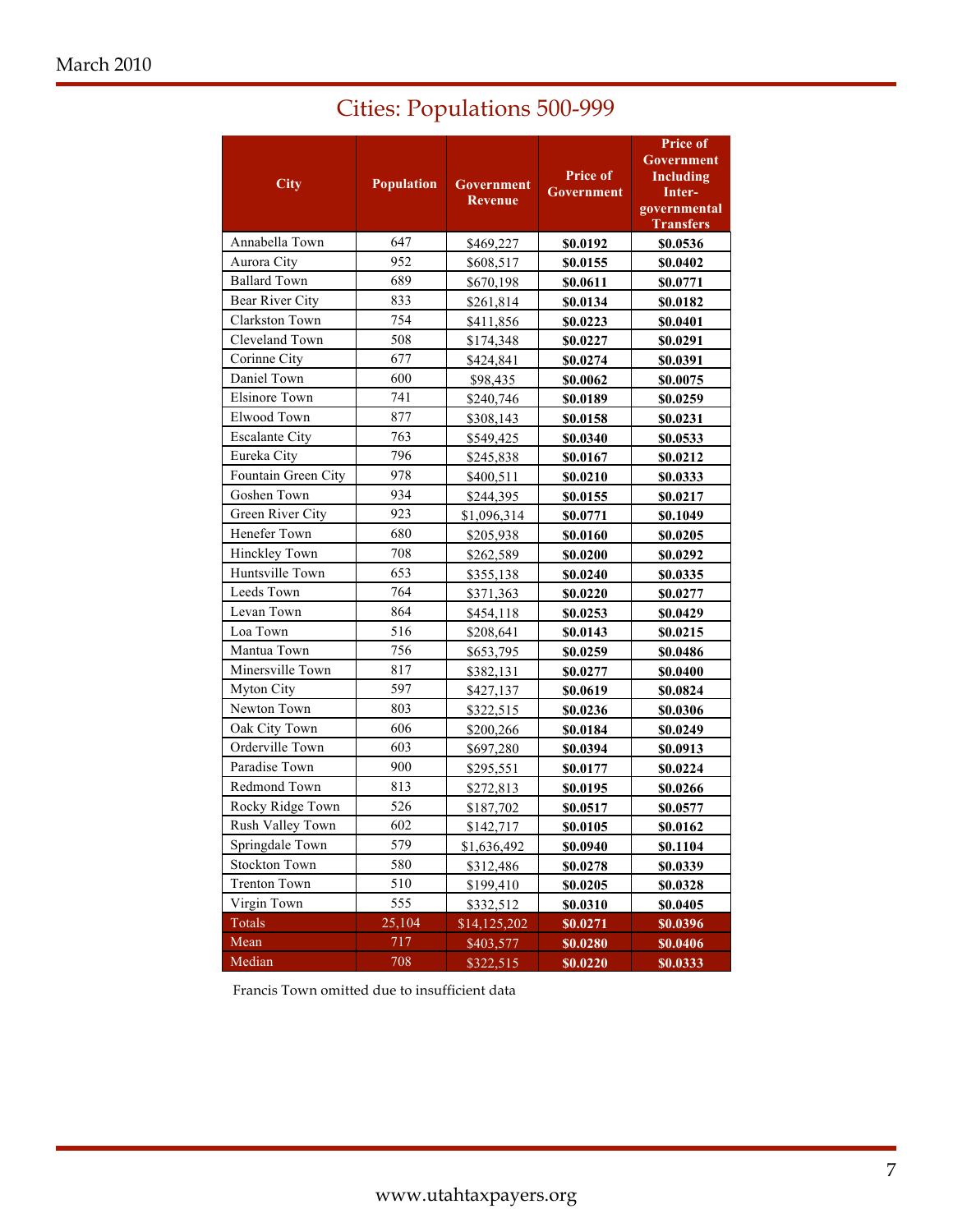|                       |                   | <b>Cities: Populations 500-999</b> |                               |                                                                                          |  |
|-----------------------|-------------------|------------------------------------|-------------------------------|------------------------------------------------------------------------------------------|--|
| <b>City</b>           | <b>Population</b> | Government<br><b>Revenue</b>       | <b>Price of</b><br>Government | <b>Price of</b><br>Government<br>Including<br>Inter-<br>governmental<br><b>Transfers</b> |  |
| Annabella Town        | 647               | \$469,227                          | \$0.0192                      | \$0.0536                                                                                 |  |
| Aurora City           | 952               | \$608,517                          | \$0.0155                      | \$0.0402                                                                                 |  |
| <b>Ballard Town</b>   | 689               | \$670,198                          | \$0.0611                      | \$0.0771                                                                                 |  |
| Bear River City       | 833               | \$261,814                          | \$0.0134                      | \$0.0182                                                                                 |  |
| Clarkston Town        | 754               | \$411,856                          | \$0.0223                      | \$0.0401                                                                                 |  |
| Cleveland Town        | 508               | \$174,348                          | \$0.0227                      | \$0.0291                                                                                 |  |
| Corinne City          | 677               | \$424,841                          | \$0.0274                      | \$0.0391                                                                                 |  |
| Daniel Town           | 600               | \$98,435                           | \$0.0062                      | \$0.0075                                                                                 |  |
| <b>Elsinore Town</b>  | 741               | \$240,746                          | \$0.0189                      | \$0.0259                                                                                 |  |
| Elwood Town           | 877               | \$308,143                          | \$0.0158                      | \$0.0231                                                                                 |  |
| <b>Escalante City</b> | 763               | \$549,425                          | \$0.0340                      | \$0.0533                                                                                 |  |
| Eureka Citv           | 796               | \$245,838                          | \$0.0167                      | \$0.0212                                                                                 |  |
|                       |                   |                                    |                               |                                                                                          |  |

| Clarkston Town        | 754             | \$411,856    | \$0.0223 | \$0.0401 |
|-----------------------|-----------------|--------------|----------|----------|
| Cleveland Town        | 508             | \$174,348    | \$0.0227 | \$0.0291 |
| Corinne City          | 677             | \$424,841    | \$0.0274 | \$0.0391 |
| Daniel Town           | 600             | \$98,435     | \$0.0062 | \$0.0075 |
| <b>Elsinore Town</b>  | 741             | \$240,746    | \$0.0189 | \$0.0259 |
| Elwood Town           | 877             | \$308,143    | \$0.0158 | \$0.0231 |
| <b>Escalante City</b> | 763             | \$549,425    | \$0.0340 | \$0.0533 |
| Eureka City           | 796             | \$245,838    | \$0.0167 | \$0.0212 |
| Fountain Green City   | 978             | \$400,511    | \$0.0210 | \$0.0333 |
| Goshen Town           | 934             | \$244,395    | \$0.0155 | \$0.0217 |
| Green River City      | 923             | \$1,096,314  | \$0.0771 | \$0.1049 |
| Henefer Town          | 680             | \$205,938    | \$0.0160 | \$0.0205 |
| Hinckley Town         | 708             | \$262,589    | \$0.0200 | \$0.0292 |
| Huntsville Town       | 653             | \$355,138    | \$0.0240 | \$0.0335 |
| Leeds Town            | 764             | \$371,363    | \$0.0220 | \$0.0277 |
| Levan Town            | 864             | \$454,118    | \$0.0253 | \$0.0429 |
| Loa Town              | 516             | \$208,641    | \$0.0143 | \$0.0215 |
| Mantua Town           | 756             | \$653,795    | \$0.0259 | \$0.0486 |
| Minersville Town      | 817             | \$382,131    | \$0.0277 | \$0.0400 |
| Myton City            | 597             | \$427,137    | \$0.0619 | \$0.0824 |
| Newton Town           | 803             | \$322,515    | \$0.0236 | \$0.0306 |
| Oak City Town         | 606             | \$200,266    | \$0.0184 | \$0.0249 |
| Orderville Town       | 603             | \$697,280    | \$0.0394 | \$0.0913 |
| Paradise Town         | 900             | \$295,551    | \$0.0177 | \$0.0224 |
| Redmond Town          | 813             | \$272,813    | \$0.0195 | \$0.0266 |
| Rocky Ridge Town      | 526             | \$187,702    | \$0.0517 | \$0.0577 |
| Rush Valley Town      | 602             | \$142,717    | \$0.0105 | \$0.0162 |
| Springdale Town       | 579             | \$1,636,492  | \$0.0940 | \$0.1104 |
| <b>Stockton Town</b>  | 580             | \$312,486    | \$0.0278 | \$0.0339 |
| <b>Trenton Town</b>   | 510             | \$199,410    | \$0.0205 | \$0.0328 |
| Virgin Town           | 555             | \$332,512    | \$0.0310 | \$0.0405 |
| Totals                | 25,104          | \$14,125,202 | \$0.0271 | \$0.0396 |
| Mean                  | 717             | \$403,577    | \$0.0280 | \$0.0406 |
| Median                | $\frac{708}{ }$ | \$322,515    | \$0.0220 | \$0.0333 |

Francis Town omitted due to insufficient data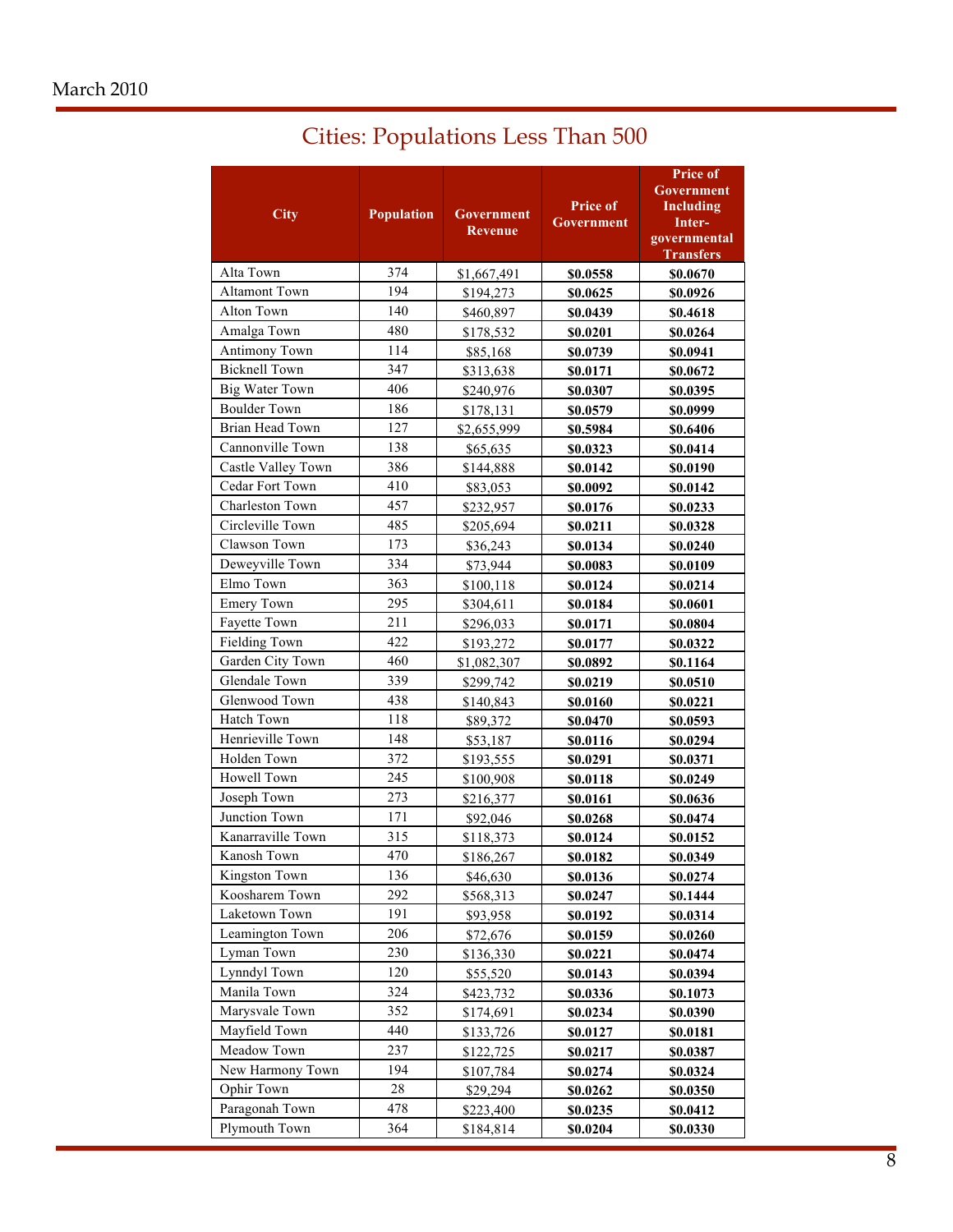| <b>Cities: Populations Less Than 500</b> |  |  |  |  |
|------------------------------------------|--|--|--|--|
|------------------------------------------|--|--|--|--|

| <b>City</b>           | <b>Population</b> | Government<br>Revenue | <b>Price of</b><br><b>Government</b> | Price of<br>Government<br>Including<br>Inter-<br>governmental<br><b>Transfers</b> |
|-----------------------|-------------------|-----------------------|--------------------------------------|-----------------------------------------------------------------------------------|
| Alta Town             | 374               | \$1,667,491           | \$0.0558                             | \$0.0670                                                                          |
| <b>Altamont Town</b>  | 194               | \$194,273             | \$0.0625                             | \$0.0926                                                                          |
| Alton Town            | 140               | \$460,897             | \$0.0439                             | \$0.4618                                                                          |
| Amalga Town           | 480               | \$178,532             | \$0.0201                             | \$0.0264                                                                          |
| <b>Antimony Town</b>  | 114               | \$85,168              | \$0.0739                             | \$0.0941                                                                          |
| <b>Bicknell Town</b>  | 347               | \$313,638             | \$0.0171                             | \$0.0672                                                                          |
| <b>Big Water Town</b> | 406               | \$240,976             | \$0.0307                             |                                                                                   |
| <b>Boulder Town</b>   | 186               | \$178,131             | \$0.0579                             | \$0.0395<br>\$0.0999                                                              |
| Brian Head Town       | 127               |                       | \$0.5984                             | \$0.6406                                                                          |
| Cannonville Town      | 138               | \$2,655,999           |                                      |                                                                                   |
| Castle Valley Town    | 386               | \$65,635<br>\$144,888 | \$0.0323<br>\$0.0142                 | \$0.0414<br>\$0.0190                                                              |
| Cedar Fort Town       | 410               |                       | \$0.0092                             | \$0.0142                                                                          |
| Charleston Town       | 457               | \$83,053              |                                      |                                                                                   |
| Circleville Town      | 485               | \$232,957             | \$0.0176                             | \$0.0233                                                                          |
| Clawson Town          | 173               | \$205,694             | \$0.0211                             | \$0.0328                                                                          |
| Deweyville Town       | 334               | \$36,243              | \$0.0134                             | \$0.0240                                                                          |
| Elmo Town             | 363               | \$73,944              | \$0.0083                             | \$0.0109                                                                          |
| <b>Emery Town</b>     | 295               | \$100,118             | \$0.0124                             | \$0.0214                                                                          |
|                       |                   | \$304,611             | \$0.0184                             | \$0.0601                                                                          |
| Fayette Town          | 211<br>422        | \$296,033             | \$0.0171                             | \$0.0804                                                                          |
| Fielding Town         |                   | \$193,272             | \$0.0177                             | \$0.0322                                                                          |
| Garden City Town      | 460               | \$1,082,307           | \$0.0892                             | \$0.1164                                                                          |
| Glendale Town         | 339               | \$299,742             | \$0.0219                             | \$0.0510                                                                          |
| Glenwood Town         | 438               | \$140,843             | \$0.0160                             | \$0.0221                                                                          |
| Hatch Town            | 118               | \$89,372              | \$0.0470                             | \$0.0593                                                                          |
| Henrieville Town      | 148               | \$53,187              | \$0.0116                             | \$0.0294                                                                          |
| Holden Town           | 372               | \$193,555             | \$0.0291                             | \$0.0371                                                                          |
| Howell Town           | 245               | \$100,908             | \$0.0118                             | \$0.0249                                                                          |
| Joseph Town           | 273               | \$216,377             | <b>\$0.0161</b>                      | \$0.0636                                                                          |
| Junction Town         | 171               | \$92,046              | \$0.0268                             | \$0.0474                                                                          |
| Kanarraville Town     | 315               | \$118,373             | \$0.0124                             | \$0.0152                                                                          |
| Kanosh Town           | 470               | \$186,267             | \$0.0182                             | \$0.0349                                                                          |
| Kingston Town         | 136               | \$46,630              | \$0.0136                             | \$0.0274                                                                          |
| Koosharem Town        | 292               | \$568,313             | \$0.0247                             | \$0.1444                                                                          |
| Laketown Town         | 191               | \$93,958              | \$0.0192                             | \$0.0314                                                                          |
| Leamington Town       | 206               | \$72,676              | \$0.0159                             | \$0.0260                                                                          |
| Lyman Town            | 230               | \$136,330             | \$0.0221                             | \$0.0474                                                                          |
| Lynndyl Town          | 120               | \$55,520              | \$0.0143                             | \$0.0394                                                                          |
| Manila Town           | 324               | \$423,732             | \$0.0336                             | <u>\$0.1073</u>                                                                   |
| Marysvale Town        | 352               | \$174,691             | \$0.0234                             | \$0.0390                                                                          |
| Mayfield Town         | 440               | \$133,726             | \$0.0127                             | \$0.0181                                                                          |
| Meadow Town           | 237               | \$122,725             | \$0.0217                             | \$0.0387                                                                          |
| New Harmony Town      | 194               | \$107,784             | \$0.0274                             | \$0.0324                                                                          |
| Ophir Town            | 28                | \$29,294              | \$0.0262                             | <b>\$0.0350</b>                                                                   |
| Paragonah Town        | 478               | \$223,400             | \$0.0235                             | \$0.0412                                                                          |
| Plymouth Town         | 364               | \$184,814             | \$0.0204                             | \$0.0330                                                                          |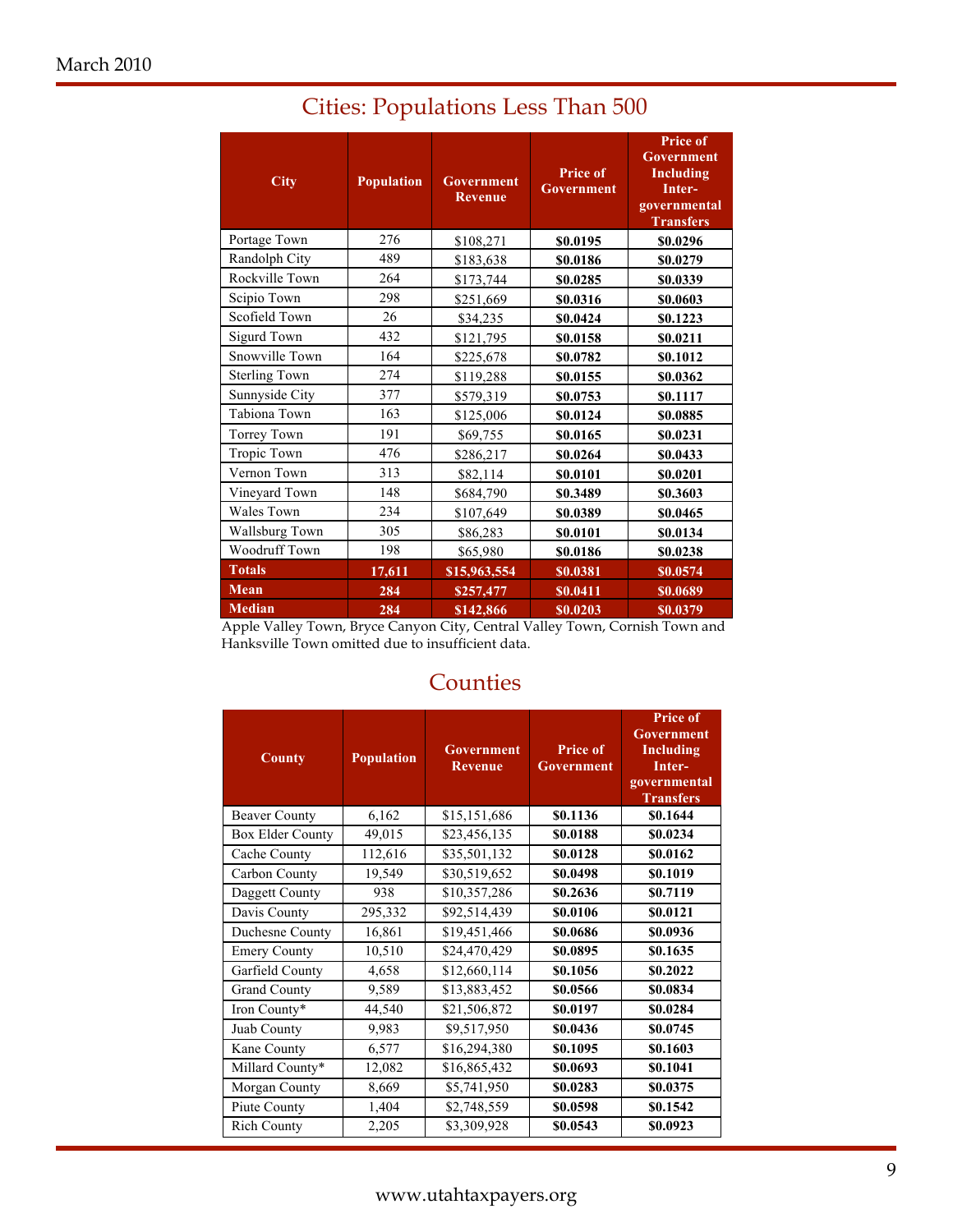| <b>City</b>                                    | <b>Population</b>   | <b>Government</b><br><b>Revenue</b> | <b>Price of</b><br><b>Government</b> | <b>Price of</b><br><b>Government</b><br><b>Including</b><br>Inter-<br>governmental<br><b>Transfers</b> |
|------------------------------------------------|---------------------|-------------------------------------|--------------------------------------|--------------------------------------------------------------------------------------------------------|
| Portage Town                                   | 276                 | \$108,271                           | \$0.0195                             | \$0.0296                                                                                               |
| Randolph City                                  | 489                 | \$183,638                           | \$0.0186                             | \$0.0279                                                                                               |
| Rockville Town                                 | 264                 | \$173,744                           | \$0.0285                             | \$0.0339                                                                                               |
| Scipio Town                                    | 298                 | \$251,669                           | \$0.0316                             | \$0.0603                                                                                               |
| Scofield Town                                  | 26                  | \$34,235                            | \$0.0424                             | \$0.1223                                                                                               |
| <b>Sigurd Town</b>                             | 432                 | \$121,795                           | \$0.0158                             | \$0.0211                                                                                               |
| Snowville Town                                 | 164                 | \$225,678                           | \$0.0782                             | \$0.1012                                                                                               |
| <b>Sterling Town</b>                           | 274                 | \$119,288                           | \$0.0155                             | \$0.0362                                                                                               |
| Sunnyside City                                 | 377                 | \$579,319                           | \$0.0753                             | \$0.1117                                                                                               |
| Tabiona Town                                   | 163                 | \$125,006                           | \$0.0124                             | \$0.0885                                                                                               |
| Torrey Town                                    | 191                 | \$69,755                            | \$0.0165                             | \$0.0231                                                                                               |
| Tropic Town                                    | 476                 | \$286,217                           | \$0.0264                             | \$0.0433                                                                                               |
| Vernon Town                                    | 313                 | \$82,114                            | \$0.0101                             | \$0.0201                                                                                               |
| Vineyard Town                                  | 148                 | \$684,790                           | \$0.3489                             | \$0.3603                                                                                               |
| <b>Wales Town</b>                              | 234                 | \$107,649                           | \$0.0389                             | \$0.0465                                                                                               |
| Wallsburg Town                                 | 305                 | \$86,283                            | \$0.0101                             | \$0.0134                                                                                               |
| Woodruff Town                                  | 198                 | \$65,980                            | \$0.0186                             | \$0.0238                                                                                               |
| <b>Totals</b>                                  | 17,611              | \$15,963,554                        | \$0.0381                             | \$0.0574                                                                                               |
| <b>Mean</b>                                    | 284                 | \$257,477                           | \$0.0411                             | \$0.0689                                                                                               |
| <b>Median</b><br>$1 - T$ $T$ $T$ $T$<br>$\sim$ | 284<br>$\mathbf{r}$ | \$142,866                           | \$0.0203<br>1.77.11                  | \$0.0379<br>$\cdot$ $\cdot$ $\cdot$                                                                    |

# Cities: Populations Less Than 500

Apple Valley Town, Bryce Canyon City, Central Valley Town, Cornish Town and Hanksville Town omitted due to insufficient data.

## **Counties**

| County               | <b>Population</b> | <b>Government</b><br><b>Revenue</b> | <b>Price of</b><br>Government | <b>Price of</b><br>Government<br>Including<br>Inter-<br>governmental<br><b>Transfers</b> |
|----------------------|-------------------|-------------------------------------|-------------------------------|------------------------------------------------------------------------------------------|
| <b>Beaver County</b> | 6,162             | \$15,151,686                        | \$0.1136                      | \$0.1644                                                                                 |
| Box Elder County     | 49,015            | \$23,456,135                        | \$0.0188                      | \$0.0234                                                                                 |
| Cache County         | 112,616           | \$35,501,132                        | \$0.0128                      | \$0.0162                                                                                 |
| Carbon County        | 19,549            | \$30,519,652                        | \$0.0498                      | \$0.1019                                                                                 |
| Daggett County       | 938               | \$10,357,286                        | \$0.2636                      | \$0.7119                                                                                 |
| Davis County         | 295,332           | \$92,514,439                        | \$0.0106                      | \$0.0121                                                                                 |
| Duchesne County      | 16,861            | \$19,451,466                        | \$0.0686                      | \$0.0936                                                                                 |
| <b>Emery County</b>  | 10,510            | \$24,470,429                        | \$0.0895                      | \$0.1635                                                                                 |
| Garfield County      | 4,658             | \$12,660,114                        | \$0.1056                      | \$0.2022                                                                                 |
| <b>Grand County</b>  | 9,589             | \$13,883,452                        | \$0.0566                      | \$0.0834                                                                                 |
| Iron County*         | 44,540            | \$21,506,872                        | \$0.0197                      | \$0.0284                                                                                 |
| Juab County          | 9,983             | \$9,517,950                         | \$0.0436                      | \$0.0745                                                                                 |
| Kane County          | 6,577             | \$16,294,380                        | \$0.1095                      | \$0.1603                                                                                 |
| Millard County*      | 12,082            | \$16,865,432                        | \$0.0693                      | \$0.1041                                                                                 |
| Morgan County        | 8,669             | \$5,741,950                         | \$0.0283                      | \$0.0375                                                                                 |
| Piute County         | 1,404             | \$2,748,559                         | \$0.0598                      | \$0.1542                                                                                 |
| <b>Rich County</b>   | 2,205             | \$3,309,928                         | \$0.0543                      | \$0.0923                                                                                 |